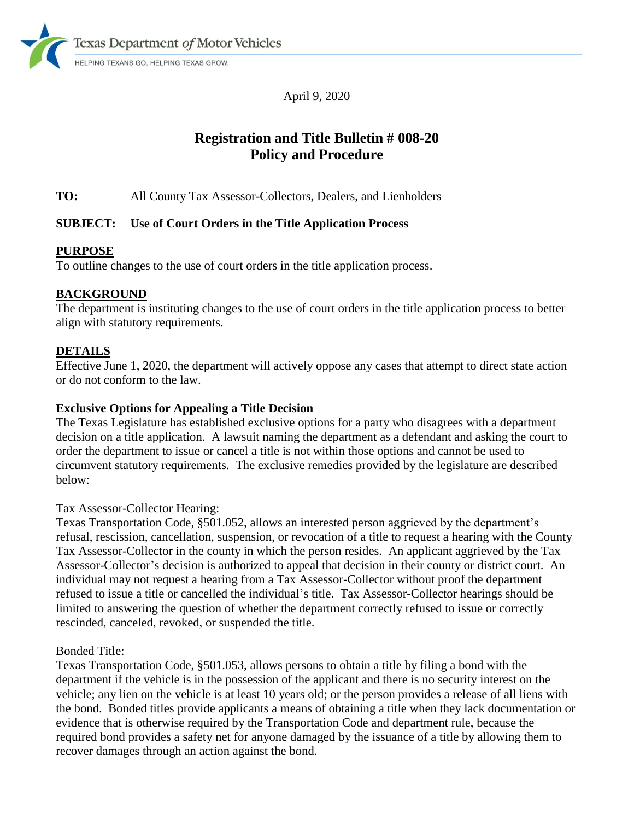

April 9, 2020

# **Registration and Title Bulletin # 008-20 Policy and Procedure**

**TO:** All County Tax Assessor-Collectors, Dealers, and Lienholders

# **SUBJECT: Use of Court Orders in the Title Application Process**

# **PURPOSE**

To outline changes to the use of court orders in the title application process.

# **BACKGROUND**

The department is instituting changes to the use of court orders in the title application process to better align with statutory requirements.

# **DETAILS**

Effective June 1, 2020, the department will actively oppose any cases that attempt to direct state action or do not conform to the law.

### **Exclusive Options for Appealing a Title Decision**

The Texas Legislature has established exclusive options for a party who disagrees with a department decision on a title application. A lawsuit naming the department as a defendant and asking the court to order the department to issue or cancel a title is not within those options and cannot be used to circumvent statutory requirements. The exclusive remedies provided by the legislature are described below:

#### Tax Assessor-Collector Hearing:

Texas Transportation Code, §501.052, allows an interested person aggrieved by the department's refusal, rescission, cancellation, suspension, or revocation of a title to request a hearing with the County Tax Assessor-Collector in the county in which the person resides. An applicant aggrieved by the Tax Assessor-Collector's decision is authorized to appeal that decision in their county or district court. An individual may not request a hearing from a Tax Assessor-Collector without proof the department refused to issue a title or cancelled the individual's title. Tax Assessor-Collector hearings should be limited to answering the question of whether the department correctly refused to issue or correctly rescinded, canceled, revoked, or suspended the title.

#### Bonded Title:

Texas Transportation Code, §501.053, allows persons to obtain a title by filing a bond with the department if the vehicle is in the possession of the applicant and there is no security interest on the vehicle; any lien on the vehicle is at least 10 years old; or the person provides a release of all liens with the bond. Bonded titles provide applicants a means of obtaining a title when they lack documentation or evidence that is otherwise required by the Transportation Code and department rule, because the required bond provides a safety net for anyone damaged by the issuance of a title by allowing them to recover damages through an action against the bond.